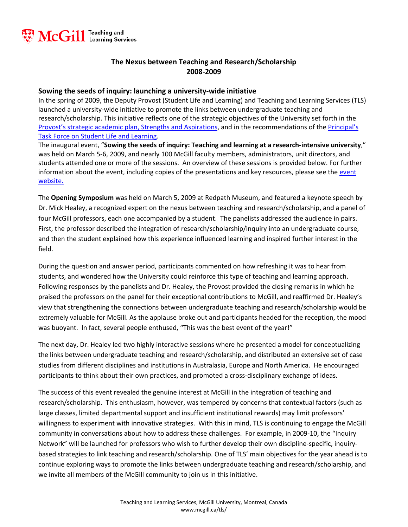## **The Nexus between Teaching and Research/Scholarship 2008‐2009**

## **Sowing the seeds of inquiry: launching a university‐wide initiative**

In the spring of 2009, the Deputy Provost (Student Life and Learning) and Teaching and Learning Services (TLS) launched a university-wide initiative to promote the links between undergraduate teaching and research/scholarship. This initiative reflects one of the strategic objectives of the University set forth in the Provost's strategic academic plan, Strengths and Aspirations, and in the recommendations of the Principal's Task Force on Student Life and Learning.

The inaugural event, "**Sowing the seeds of inquiry: Teaching and learning at a research‐intensive university**," was held on March 5-6, 2009, and nearly 100 McGill faculty members, administrators, unit directors, and students attended one or more of the sessions. An overview of these sessions is provided below. For further information about the event, including copies of the presentations and key resources, please see the event website.

The **Opening Symposium** was held on March 5, 2009 at Redpath Museum, and featured a keynote speech by Dr. Mick Healey, a recognized expert on the nexus between teaching and research/scholarship, and a panel of four McGill professors, each one accompanied by a student. The panelists addressed the audience in pairs. First, the professor described the integration of research/scholarship/inquiry into an undergraduate course, and then the student explained how this experience influenced learning and inspired further interest in the field.

During the question and answer period, participants commented on how refreshing it was to hear from students, and wondered how the University could reinforce this type of teaching and learning approach. Following responses by the panelists and Dr. Healey, the Provost provided the closing remarks in which he praised the professors on the panel for their exceptional contributions to McGill, and reaffirmed Dr. Healey's view that strengthening the connections between undergraduate teaching and research/scholarship would be extremely valuable for McGill. As the applause broke out and participants headed for the reception, the mood was buoyant. In fact, several people enthused, "This was the best event of the year!"

The next day, Dr. Healey led two highly interactive sessions where he presented a model for conceptualizing the links between undergraduate teaching and research/scholarship, and distributed an extensive set of case studies from different disciplines and institutions in Australasia, Europe and North America. He encouraged participants to think about their own practices, and promoted a cross-disciplinary exchange of ideas.

The success of this event revealed the genuine interest at McGill in the integration of teaching and research/scholarship. This enthusiasm, however, was tempered by concerns that contextual factors (such as large classes, limited departmental support and insufficient institutional rewards) may limit professors' willingness to experiment with innovative strategies. With this in mind, TLS is continuing to engage the McGill community in conversations about how to address these challenges. For example, in 2009‐10, the "Inquiry Network" will be launched for professors who wish to further develop their own discipline‐specific, inquiry‐ based strategies to link teaching and research/scholarship. One of TLS' main objectives for the year ahead is to continue exploring ways to promote the links between undergraduate teaching and research/scholarship, and we invite all members of the McGill community to join us in this initiative.